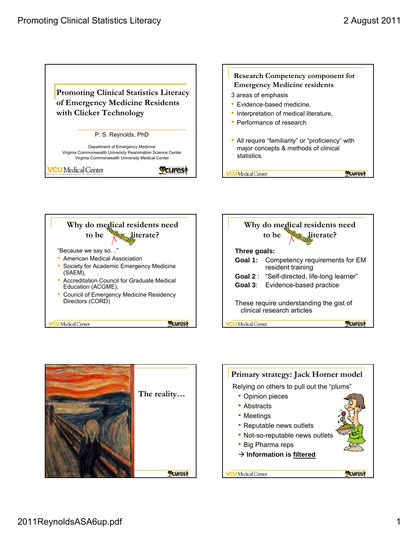







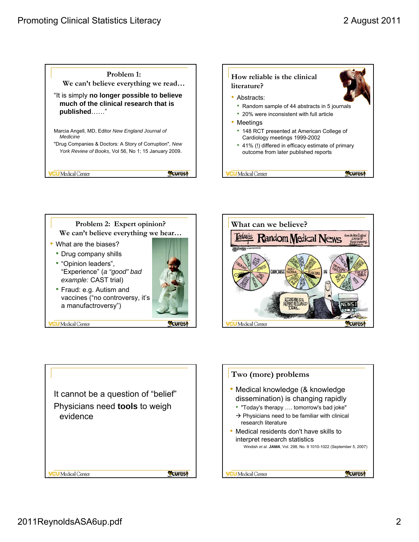









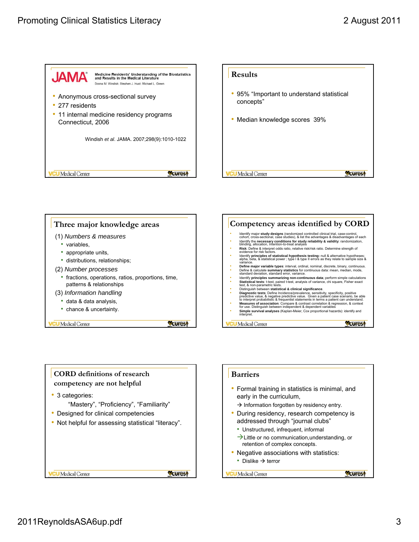







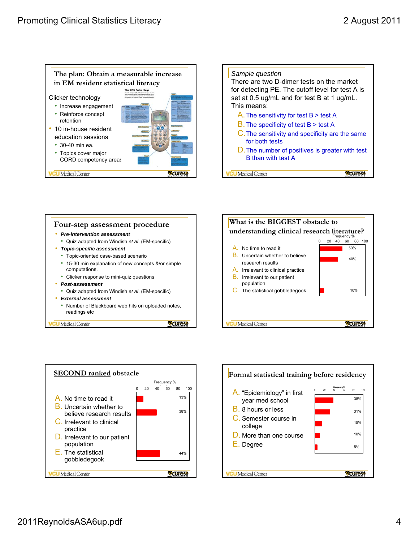









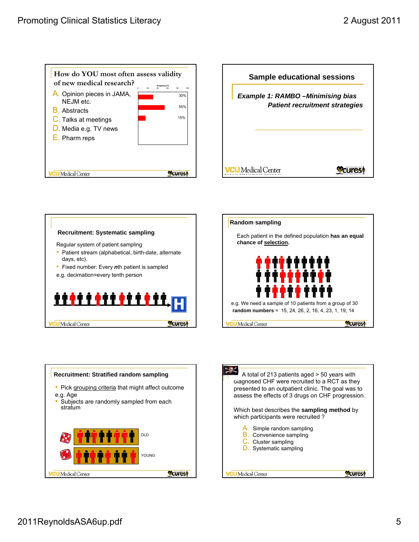









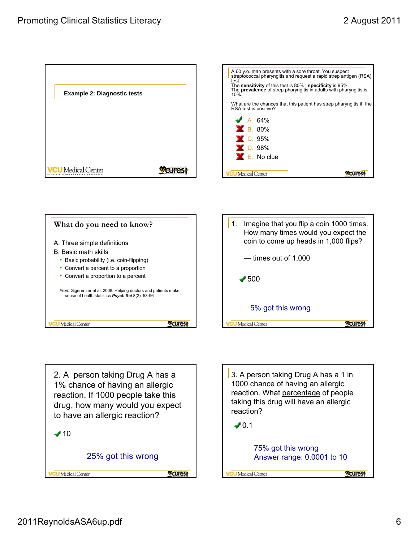





2. A person taking Drug A has a 1% chance of having an allergic reaction. If 1000 people take this drug, how many would you expect to have an allergic reaction?  $\blacktriangledown$  10

25% got this wrong

**Wourest** 

**CU** Medical Center

3. A person taking Drug A has a 1 in 1000 chance of having an allergic reaction. What percentage of people taking this drug will have an allergic reaction?

 $\n 0.1\n$ 



**CU** Medical Center

**Woures!**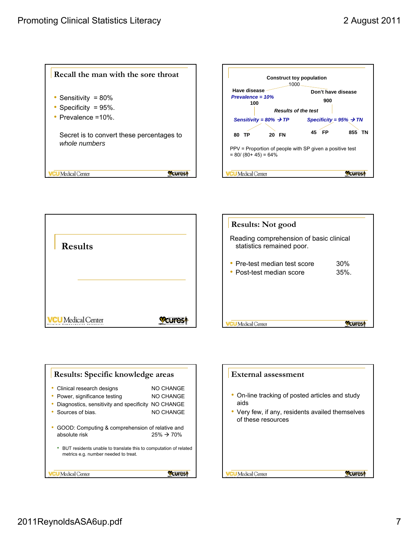